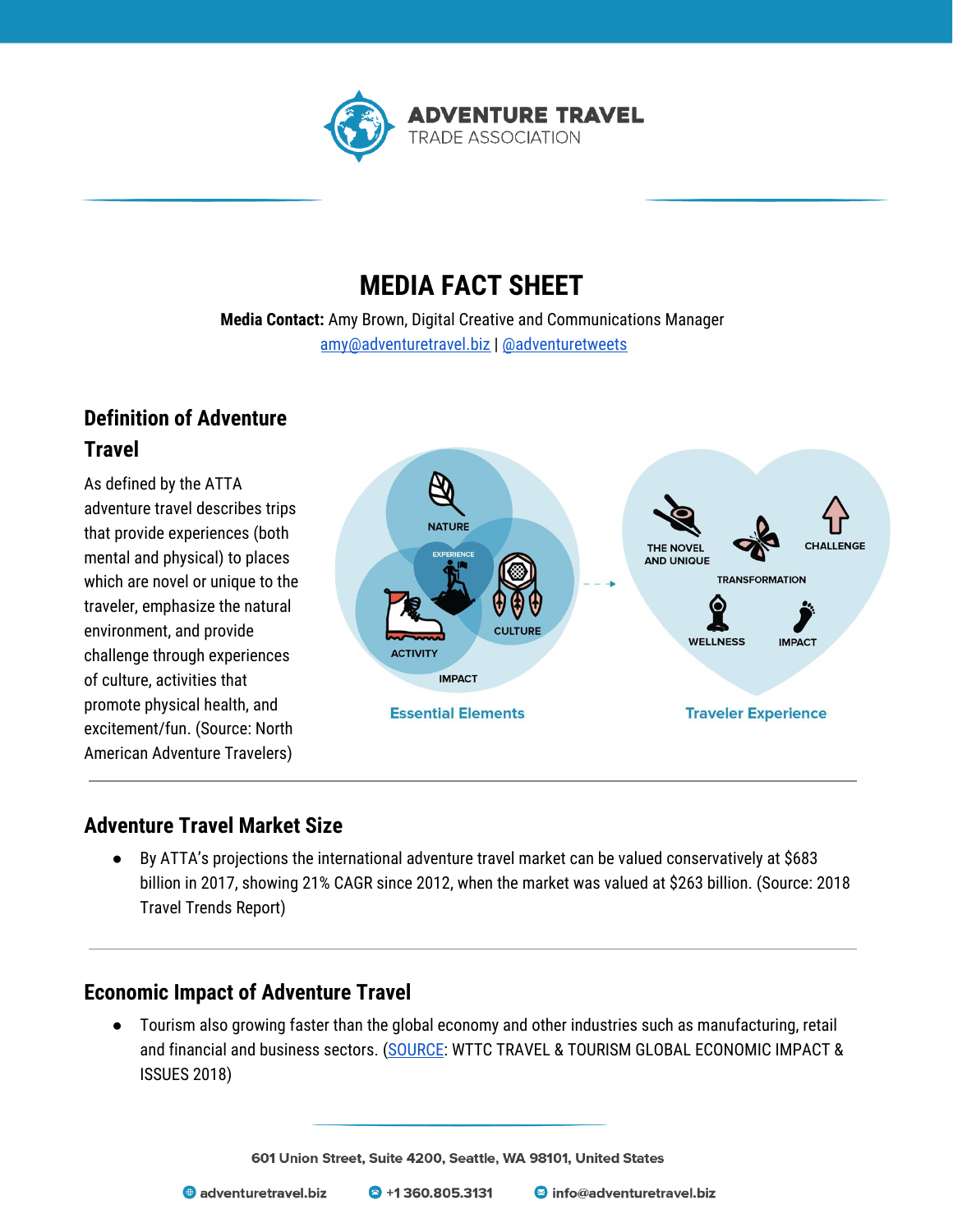

# **MEDIA FACT SHEET**

**Media Contact:** Amy Brown, Digital Creative and Communications Manager [amy@adventuretravel.biz](mailto:amy@adventuretravel.biz) | [@adventuretweets](https://twitter.com/adventuretweets)

## **Definition of Adventure Travel**

As defined by the ATTA adventure travel describes trips that provide experiences (both mental and physical) to places which are novel or unique to the traveler, emphasize the natural environment, and provide challenge through experiences of culture, activities that promote physical health, and excitement/fun. (Source: North American Adventure Travelers)



## **Adventure Travel Market Size**

● By ATTA's projections the international adventure travel market can be valued conservatively at \$683 billion in 2017, showing 21% CAGR since 2012, when the market was valued at \$263 billion. (Source: 2018 Travel Trends Report)

## **Economic Impact of Adventure Travel**

● Tourism also growing faster than the global economy and other industries such as manufacturing, retail and financial and business sectors. [\(SOURCE](https://www.wttc.org/-/media/files/reports/economic-impact-research/documents-2018/global-economic-impact-and-issues-2018-eng.pdf): WTTC TRAVEL & TOURISM GLOBAL ECONOMIC IMPACT & ISSUES 2018)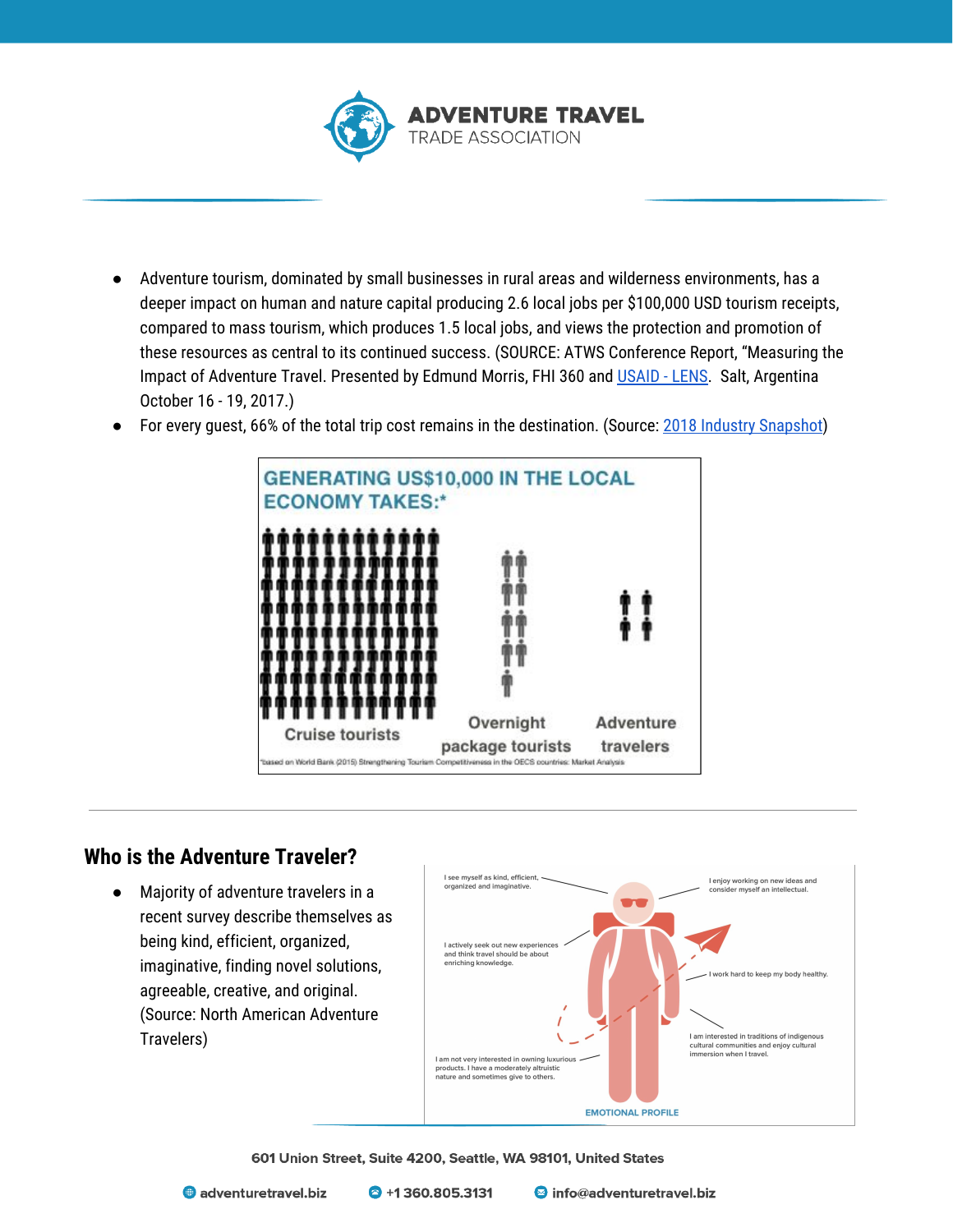

- Adventure tourism, dominated by small businesses in rural areas and wilderness environments, has a deeper impact on human and nature capital producing 2.6 local jobs per \$100,000 USD tourism receipts, compared to mass tourism, which produces 1.5 local jobs, and views the protection and promotion of these resources as central to its continued success. (SOURCE: ATWS Conference Report, "Measuring the Impact of Adventure Travel. Presented by Edmund Morris, FHI 360 and [USAID](https://jordanlens.org/) - LENS. Salt, Argentina October 16 - 19, 2017.)
- For every guest, 66% of the total trip cost remains in the destination. (Source: 2018 Industry [Snapshot\)](https://www.adventuretravel.biz/research/2018-adventure-travel-trends-snapshot/)



### **Who is the Adventure Traveler?**

Majority of adventure travelers in a recent survey describe themselves as being kind, efficient, organized, imaginative, finding novel solutions, agreeable, creative, and original. (Source: North American Adventure Travelers)

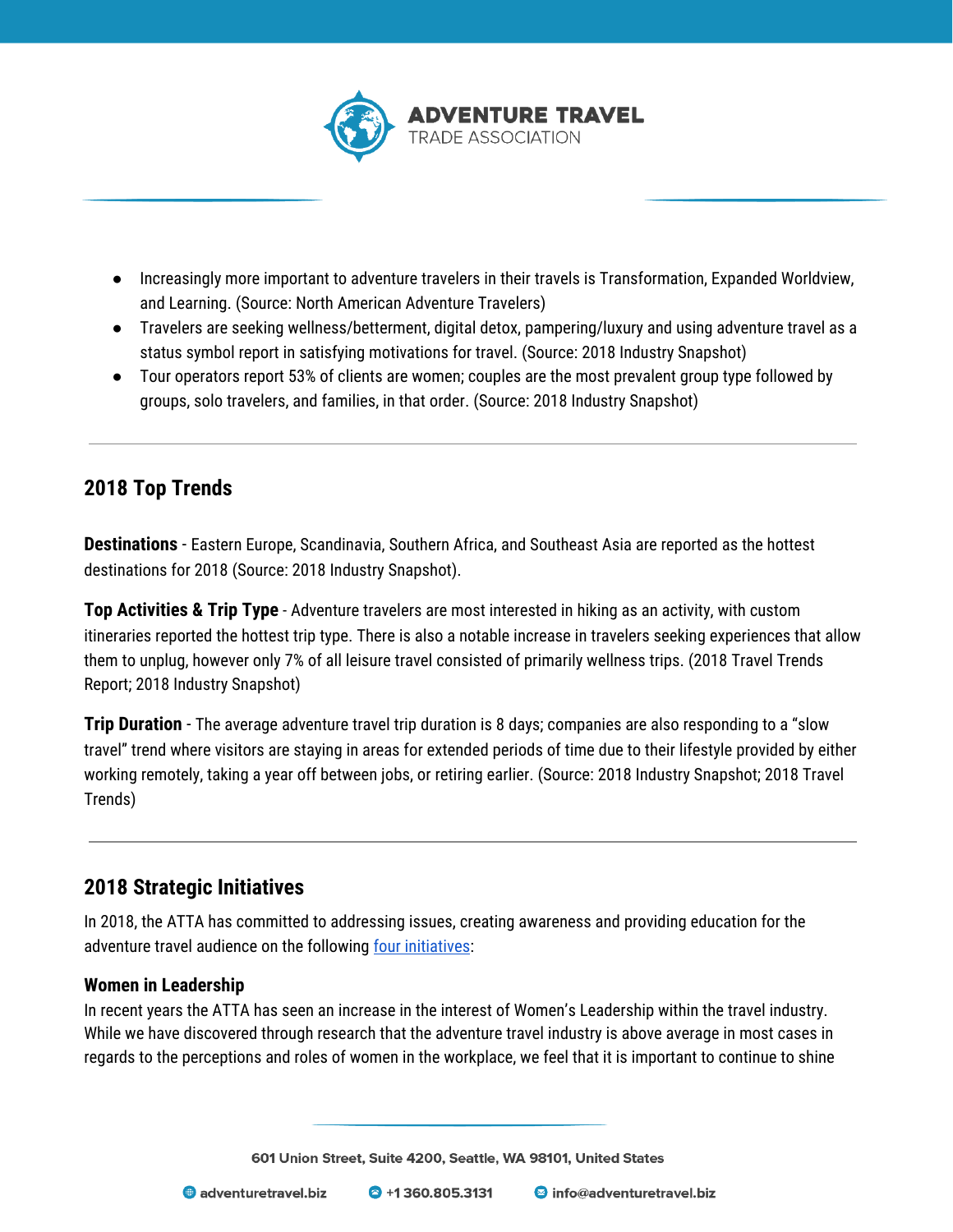

- Increasingly more important to adventure travelers in their travels is Transformation, Expanded Worldview, and Learning. (Source: North American Adventure Travelers)
- Travelers are seeking wellness/betterment, digital detox, pampering/luxury and using adventure travel as a status symbol report in satisfying motivations for travel. (Source: 2018 Industry Snapshot)
- Tour operators report 53% of clients are women; couples are the most prevalent group type followed by groups, solo travelers, and families, in that order. (Source: 2018 Industry Snapshot)

## **2018 Top Trends**

**Destinations** -Eastern Europe, Scandinavia, Southern Africa, and Southeast Asia are reported as the hottest destinations for 2018 (Source: 2018 Industry Snapshot).

**Top Activities & Trip Type** - Adventure travelers are most interested in hiking as an activity, with custom itineraries reported the hottest trip type. There is also a notable increase in travelers seeking experiences that allow them to unplug, however only 7% of all leisure travel consisted of primarily wellness trips. (2018 Travel Trends Report; 2018 Industry Snapshot)

**Trip Duration** - The average adventure travel trip duration is 8 days; companies are also responding to a "slow travel" trend where visitors are staying in areas for extended periods of time due to their lifestyle provided by either working remotely, taking a year off between jobs, or retiring earlier. (Source: 2018 Industry Snapshot; 2018 Travel Trends)

## **2018 Strategic Initiatives**

In 2018, the ATTA has committed to addressing issues, creating awareness and providing education for the adventure travel audience on the following four [initiatives](https://www.adventuretravel.biz/our-initiatives/):

#### **Women in Leadership**

In recent years the ATTA has seen an increase in the interest of Women's Leadership within the travel industry. While we have discovered through research that the adventure travel industry is above average in most cases in regards to the perceptions and roles of women in the workplace, we feel that it is important to continue to shine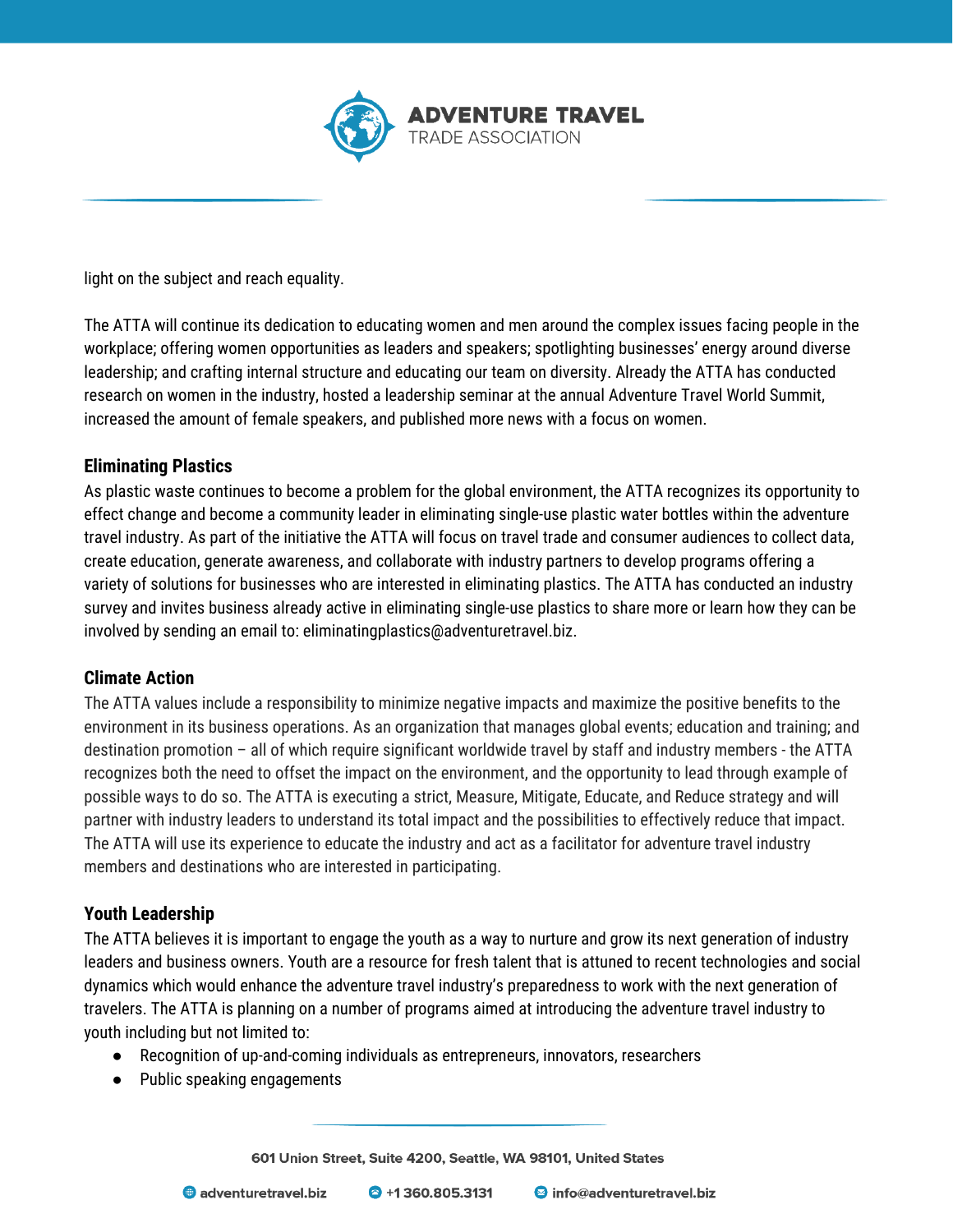

light on the subject and reach equality.

The ATTA will continue its dedication to educating women and men around the complex issues facing people in the workplace; offering women opportunities as leaders and speakers; spotlighting businesses' energy around diverse leadership; and crafting internal structure and educating our team on diversity. Already the ATTA has conducted research on women in the industry, hosted a leadership seminar at the annual Adventure Travel World Summit, increased the amount of female speakers, and published more news with a focus on women.

#### **Eliminating Plastics**

As plastic waste continues to become a problem for the global environment, the ATTA recognizes its opportunity to effect change and become a community leader in eliminating single-use plastic water bottles within the adventure travel industry. As part of the initiative the ATTA will focus on travel trade and consumer audiences to collect data, create education, generate awareness, and collaborate with industry partners to develop programs offering a variety of solutions for businesses who are interested in eliminating plastics. The ATTA has conducted an industry survey and invites business already active in eliminating single-use plastics to share more or learn how they can be involved by sending an email to: eliminatingplastics@adventuretravel.biz.

#### **Climate Action**

The ATTA values include a responsibility to minimize negative impacts and maximize the positive benefits to the environment in its business operations. As an organization that manages global events; education and training; and destination promotion – all of which require significant worldwide travel by staff and industry members - the ATTA recognizes both the need to offset the impact on the environment, and the opportunity to lead through example of possible ways to do so. The ATTA is executing a strict, Measure, Mitigate, Educate, and Reduce strategy and will partner with industry leaders to understand its total impact and the possibilities to effectively reduce that impact. The ATTA will use its experience to educate the industry and act as a facilitator for adventure travel industry members and destinations who are interested in participating.

#### **Youth Leadership**

The ATTA believes it is important to engage the youth as a way to nurture and grow its next generation of industry leaders and business owners. Youth are a resource for fresh talent that is attuned to recent technologies and social dynamics which would enhance the adventure travel industry's preparedness to work with the next generation of travelers. The ATTA is planning on a number of programs aimed at introducing the adventure travel industry to youth including but not limited to:

- Recognition of up-and-coming individuals as entrepreneurs, innovators, researchers
- Public speaking engagements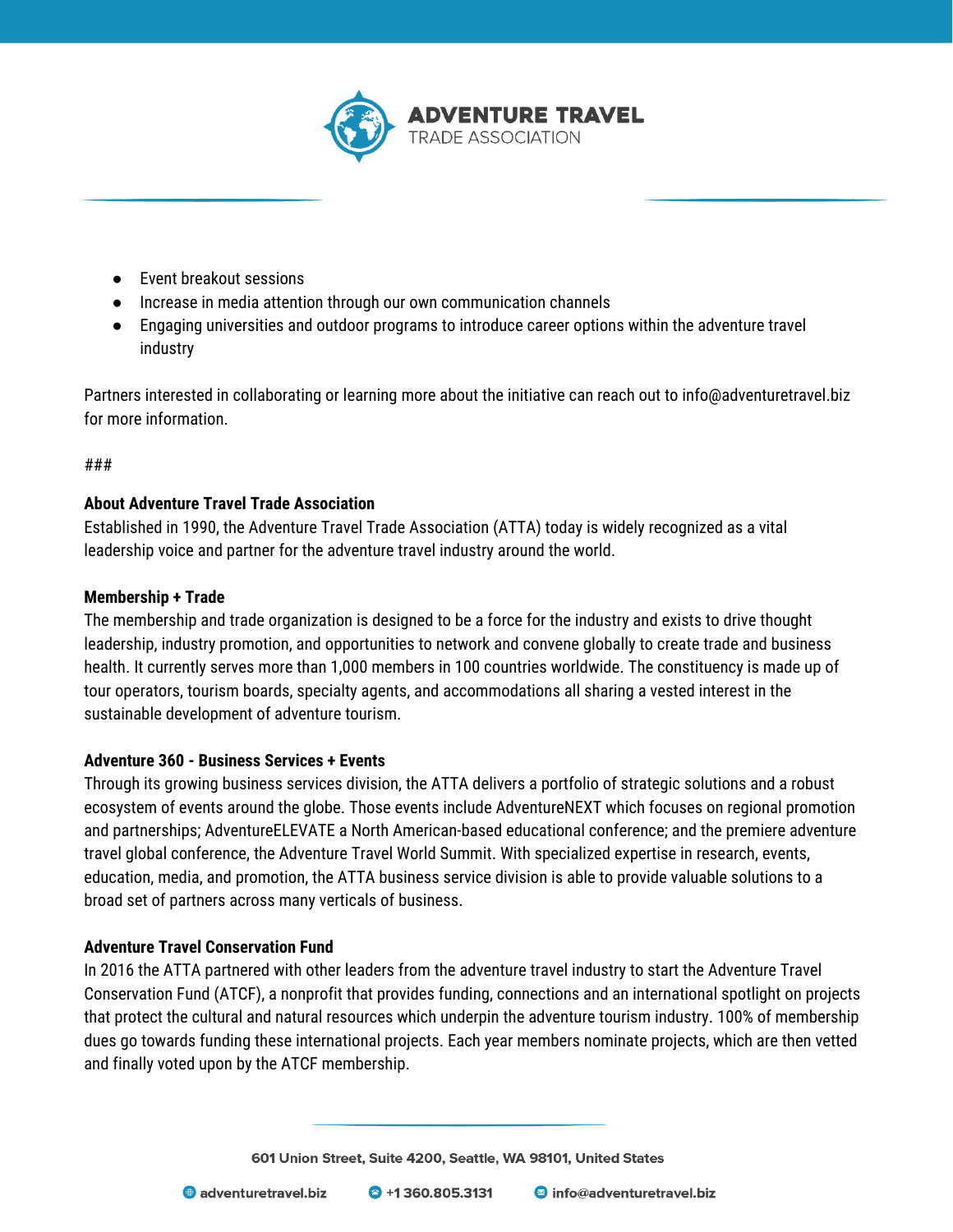

- Event breakout sessions
- Increase in media attention through our own communication channels
- Engaging universities and outdoor programs to introduce career options within the adventure travel industry

Partners interested in collaborating or learning more about the initiative can reach out to info@adventuretravel.biz for more information.

###

#### **About Adventure Travel Trade Association**

Established in 1990, the Adventure Travel Trade Association (ATTA) today is widely recognized as a vital leadership voice and partner for the adventure travel industry around the world.

#### **Membership + Trade**

The membership and trade organization is designed to be a force for the industry and exists to drive thought leadership, industry promotion, and opportunities to network and convene globally to create trade and business health. It currently serves more than 1,000 members in 100 countries worldwide. The constituency is made up of tour operators, tourism boards, specialty agents, and accommodations all sharing a vested interest in the sustainable development of adventure tourism.

#### **Adventure 360 - Business Services + Events**

Through its growing business services division, the ATTA delivers a portfolio of strategic solutions and a robust ecosystem of events around the globe. Those events include AdventureNEXT which focuses on regional promotion and partnerships; AdventureELEVATE a North American-based educational conference; and the premiere adventure travel global conference, the Adventure Travel World Summit. With specialized expertise in research, events, education, media, and promotion, the ATTA business service division is able to provide valuable solutions to a broad set of partners across many verticals of business.

#### **Adventure Travel Conservation Fund**

In 2016 the ATTA partnered with other leaders from the adventure travel industry to start the Adventure Travel Conservation Fund (ATCF), a nonprofit that provides funding, connections and an international spotlight on projects that protect the cultural and natural resources which underpin the adventure tourism industry. 100% of membership dues go towards funding these international projects. Each year members nominate projects, which are then vetted and finally voted upon by the ATCF membership.